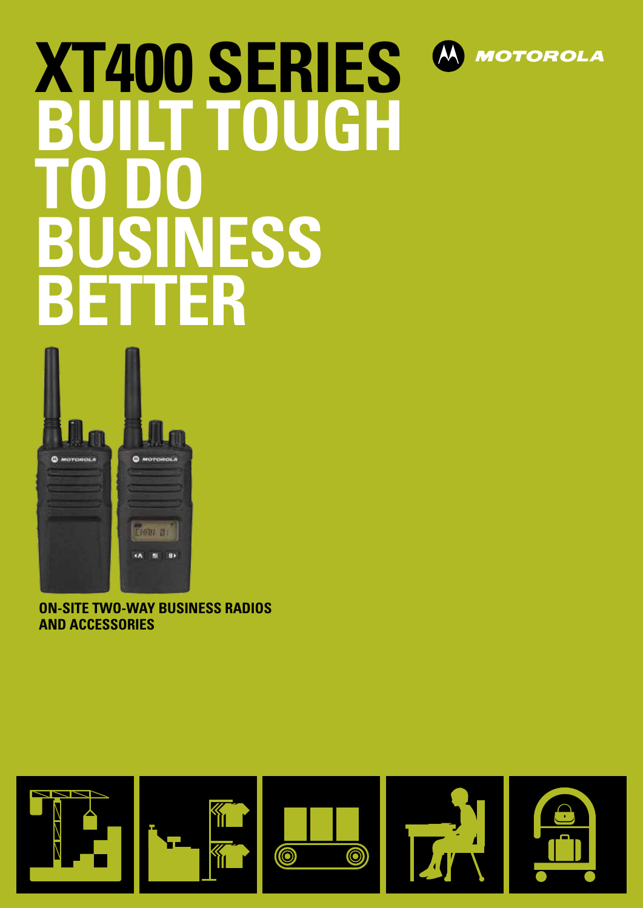

# **XT400 SERIES FOUGH TO DO NESS BETTER**



**ON-SITE TWO-WAY BUSINESS RADIOS AND ACCESSORIES**

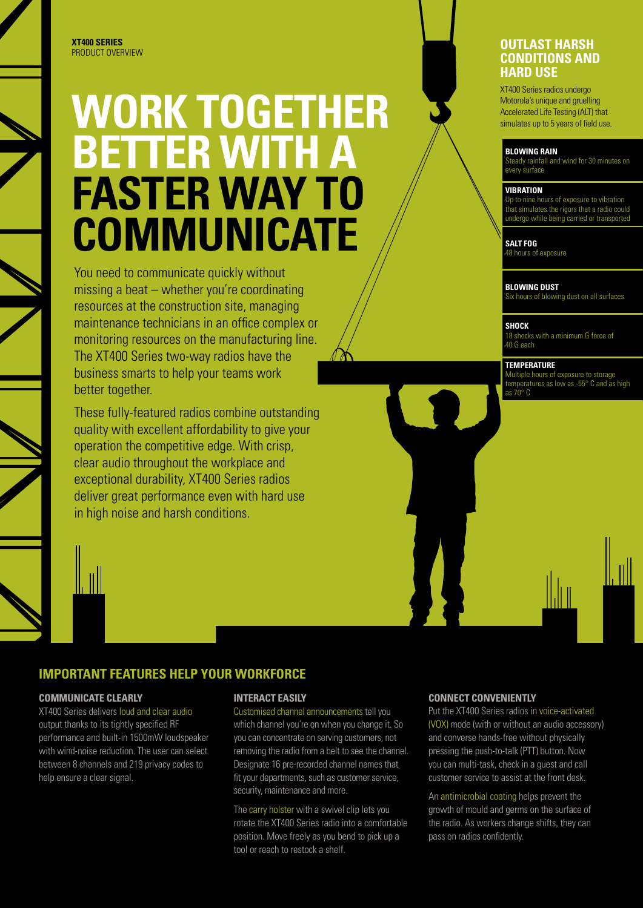#### **XT400 SERIES** PRODUCT OVERVIEW

## **WORK TOGETHER BETTER WITH A FASTER WAY TO COMMUNICATE**

You need to communicate quickly without missing a beat – whether you're coordinating resources at the construction site, managing maintenance technicians in an office complex or monitoring resources on the manufacturing line. The XT400 Series two-way radios have the business smarts to help your teams work better together.

These fully-featured radios combine outstanding quality with excellent affordability to give your operation the competitive edge. With crisp, clear audio throughout the workplace and exceptional durability, XT400 Series radios deliver great performance even with hard use in high noise and harsh conditions.



**COMMUNICATE CLEARLY**

help ensure a clear signal.

XT400 Series delivers loud and clear audio output thanks to its tightly specified RF performance and built-in 1500mW loudspeaker with wind-noise reduction. The user can select between 8 channels and 219 privacy codes to

**IMPORTANT FEATURES HELP YOUR WORKFORCE**

#### **INTERACT EASILY**

Customised channel announcements tell you which channel you're on when you change it. So you can concentrate on serving customers, not removing the radio from a belt to see the channel. Designate 16 pre-recorded channel names that fit your departments, such as customer service, security, maintenance and more.

The carry holster with a swivel clip lets you rotate the XT400 Series radio into a comfortable position. Move freely as you bend to pick up a tool or reach to restock a shelf.

#### **CONNECT CONVENIENTLY**

Put the XT400 Series radios in voice-activated (VOX) mode (with or without an audio accessory) and converse hands-free without physically pressing the push-to-talk (PTT) button. Now you can multi-task, check in a guest and call customer service to assist at the front desk.

An antimicrobial coating helps prevent the growth of mould and germs on the surface of the radio. As workers change shifts, they can pass on radios confidently.

#### **OUTLAST HARSH CONDITIONS AND HARD USE**

XT400 Series radios undergo Motorola's unique and gruelling Accelerated Life Testing (ALT) that simulates up to 5 years of field use.

#### **Blowing Rain**

steady rainfall and wind for 30 minutes on every surface

#### **VIBRATION vibration**

Up to nine hours of exposure to vibration that simulates the rigors that a radio could undergo while being carried or transported

**Salt Fog**

8 hours of exposure

#### **BLOWING DUST**

Six hours of blowing dust on all surfaces

**SHOCK**

18 shocks with a minimum G force of 40 G each

#### **TEMPERATURE**

Multiple hours of exposure to storage temperatures as low as -55° C and as high as  $70^\circ$  C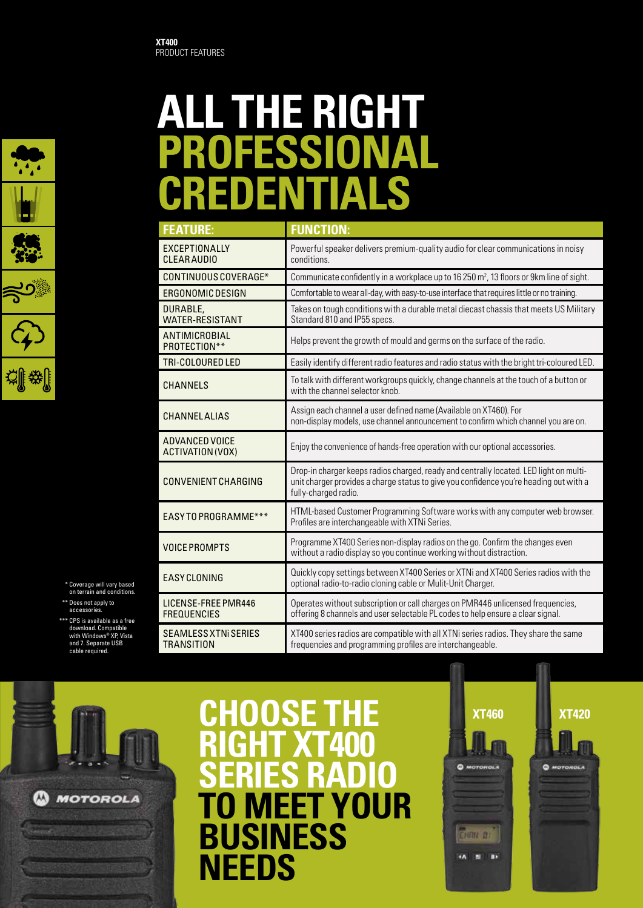

 \* Coverage will vary based on terrain and conditions. \*\* Does not apply to

accessories.

\*\*\* CPS is available as a free download. Compatible with Windows® XP, Vista and 7. Separate U<br>cable required.

## **ALL THE RIGHT PROFESSIONAL CREDENTIALS**

| <b>FEATURE:</b>                                  | <b>FUNCTION:</b>                                                                                                                                                                                         |
|--------------------------------------------------|----------------------------------------------------------------------------------------------------------------------------------------------------------------------------------------------------------|
| EXCEPTIONALLY<br><b>CLEAR AUDIO</b>              | Powerful speaker delivers premium-quality audio for clear communications in noisy<br>conditions.                                                                                                         |
| CONTINUOUS COVERAGE*                             | Communicate confidently in a workplace up to 16 250 m <sup>2</sup> , 13 floors or 9km line of sight.                                                                                                     |
| ERGONOMIC DESIGN                                 | Comfortable to wear all-day, with easy-to-use interface that requires little or no training.                                                                                                             |
| DURABLE,<br><b>WATER-RESISTANT</b>               | Takes on tough conditions with a durable metal diecast chassis that meets US Military<br>Standard 810 and IP55 specs.                                                                                    |
| ANTIMICROBIAL<br>PROTECTION**                    | Helps prevent the growth of mould and germs on the surface of the radio.                                                                                                                                 |
| TRI-COLOURED LED                                 | Easily identify different radio features and radio status with the bright tri-coloured LED.                                                                                                              |
| <b>CHANNELS</b>                                  | To talk with different workgroups quickly, change channels at the touch of a button or<br>with the channel selector knob.                                                                                |
| <b>CHANNEL ALIAS</b>                             | Assign each channel a user defined name (Available on XT460). For<br>non-display models, use channel announcement to confirm which channel you are on.                                                   |
| ADVANCED VOICE<br>ACTIVATION (VOX)               | Enjoy the convenience of hands-free operation with our optional accessories.                                                                                                                             |
| <b>CONVENIENT CHARGING</b>                       | Drop-in charger keeps radios charged, ready and centrally located. LED light on multi-<br>unit charger provides a charge status to give you confidence you're heading out with a<br>fully-charged radio. |
| EASY TO PROGRAMME***                             | HTML-based Customer Programming Software works with any computer web browser.<br>Profiles are interchangeable with XTNi Series.                                                                          |
| <b>VOICE PROMPTS</b>                             | Programme XT400 Series non-display radios on the go. Confirm the changes even<br>without a radio display so you continue working without distraction.                                                    |
| <b>EASY CLONING</b>                              | Quickly copy settings between XT400 Series or XTNi and XT400 Series radios with the<br>optional radio-to-radio cloning cable or Mulit-Unit Charger.                                                      |
| LICENSE-FREE PMR446<br><b>FREQUENCIES</b>        | Operates without subscription or call charges on PMR446 unlicensed frequencies,<br>offering 8 channels and user selectable PL codes to help ensure a clear signal.                                       |
| <b>SEAMLESS XTNI SERIES</b><br><b>TRANSITION</b> | XT400 series radios are compatible with all XTNi series radios. They share the same<br>frequencies and programming profiles are interchangeable.                                                         |



### **Choose the right XT400 series radio** ∕∆  $\mathbf{D}_4$ **MEET YOUR**<br>**SINESS** BU **NEEDS**